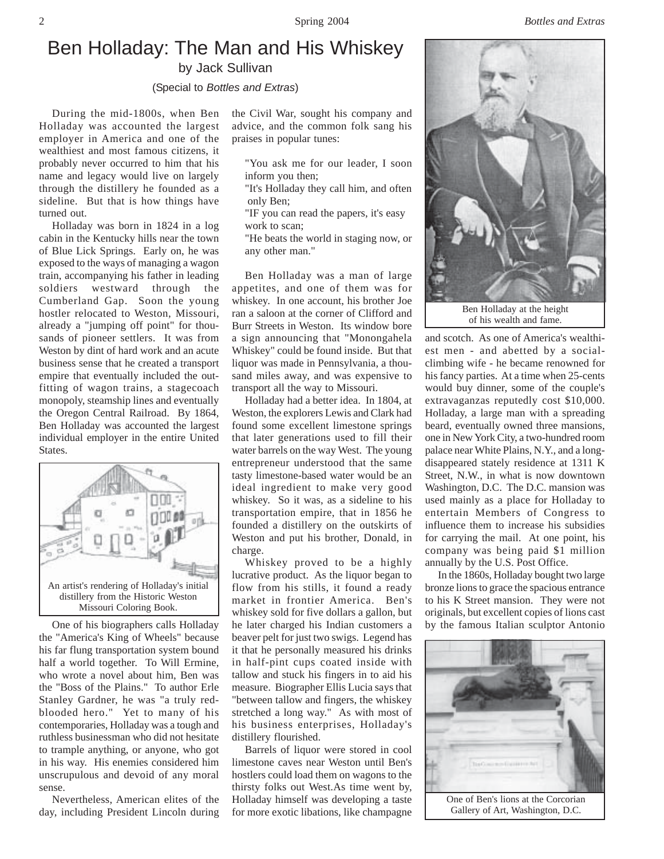2 Spring 2004 *Bottles and Extras*

## Ben Holladay: The Man and His Whiskey by Jack Sullivan

(Special to *Bottles and Extras*)

During the mid-1800s, when Ben Holladay was accounted the largest employer in America and one of the wealthiest and most famous citizens, it probably never occurred to him that his name and legacy would live on largely through the distillery he founded as a sideline. But that is how things have turned out.

Holladay was born in 1824 in a log cabin in the Kentucky hills near the town of Blue Lick Springs. Early on, he was exposed to the ways of managing a wagon train, accompanying his father in leading soldiers westward through the Cumberland Gap. Soon the young hostler relocated to Weston, Missouri, already a "jumping off point" for thousands of pioneer settlers. It was from Weston by dint of hard work and an acute business sense that he created a transport empire that eventually included the outfitting of wagon trains, a stagecoach monopoly, steamship lines and eventually the Oregon Central Railroad. By 1864, Ben Holladay was accounted the largest individual employer in the entire United States.



One of his biographers calls Holladay the "America's King of Wheels" because his far flung transportation system bound half a world together. To Will Ermine, who wrote a novel about him, Ben was the "Boss of the Plains." To author Erle Stanley Gardner, he was "a truly redblooded hero." Yet to many of his contemporaries, Holladay was a tough and ruthless businessman who did not hesitate to trample anything, or anyone, who got in his way. His enemies considered him unscrupulous and devoid of any moral sense.

Nevertheless, American elites of the day, including President Lincoln during the Civil War, sought his company and advice, and the common folk sang his praises in popular tunes:

- "You ask me for our leader, I soon inform you then;
- "It's Holladay they call him, and often only Ben;
- "IF you can read the papers, it's easy work to scan;
- "He beats the world in staging now, or any other man."

Ben Holladay was a man of large appetites, and one of them was for whiskey. In one account, his brother Joe ran a saloon at the corner of Clifford and Burr Streets in Weston. Its window bore a sign announcing that "Monongahela Whiskey" could be found inside. But that liquor was made in Pennsylvania, a thousand miles away, and was expensive to transport all the way to Missouri.

Holladay had a better idea. In 1804, at Weston, the explorers Lewis and Clark had found some excellent limestone springs that later generations used to fill their water barrels on the way West. The young entrepreneur understood that the same tasty limestone-based water would be an ideal ingredient to make very good whiskey. So it was, as a sideline to his transportation empire, that in 1856 he founded a distillery on the outskirts of Weston and put his brother, Donald, in charge.

Whiskey proved to be a highly lucrative product. As the liquor began to flow from his stills, it found a ready market in frontier America. Ben's whiskey sold for five dollars a gallon, but he later charged his Indian customers a beaver pelt for just two swigs. Legend has it that he personally measured his drinks in half-pint cups coated inside with tallow and stuck his fingers in to aid his measure. Biographer Ellis Lucia says that "between tallow and fingers, the whiskey stretched a long way." As with most of his business enterprises, Holladay's distillery flourished.

Barrels of liquor were stored in cool limestone caves near Weston until Ben's hostlers could load them on wagons to the thirsty folks out West.As time went by, Holladay himself was developing a taste for more exotic libations, like champagne



of his wealth and fame.

and scotch. As one of America's wealthiest men - and abetted by a socialclimbing wife - he became renowned for his fancy parties. At a time when 25-cents would buy dinner, some of the couple's extravaganzas reputedly cost \$10,000. Holladay, a large man with a spreading beard, eventually owned three mansions, one in New York City, a two-hundred room palace near White Plains, N.Y., and a longdisappeared stately residence at 1311 K Street, N.W., in what is now downtown Washington, D.C. The D.C. mansion was used mainly as a place for Holladay to entertain Members of Congress to influence them to increase his subsidies for carrying the mail. At one point, his company was being paid \$1 million annually by the U.S. Post Office.

In the 1860s, Holladay bought two large bronze lions to grace the spacious entrance to his K Street mansion. They were not originals, but excellent copies of lions cast by the famous Italian sculptor Antonio



Gallery of Art, Washington, D.C.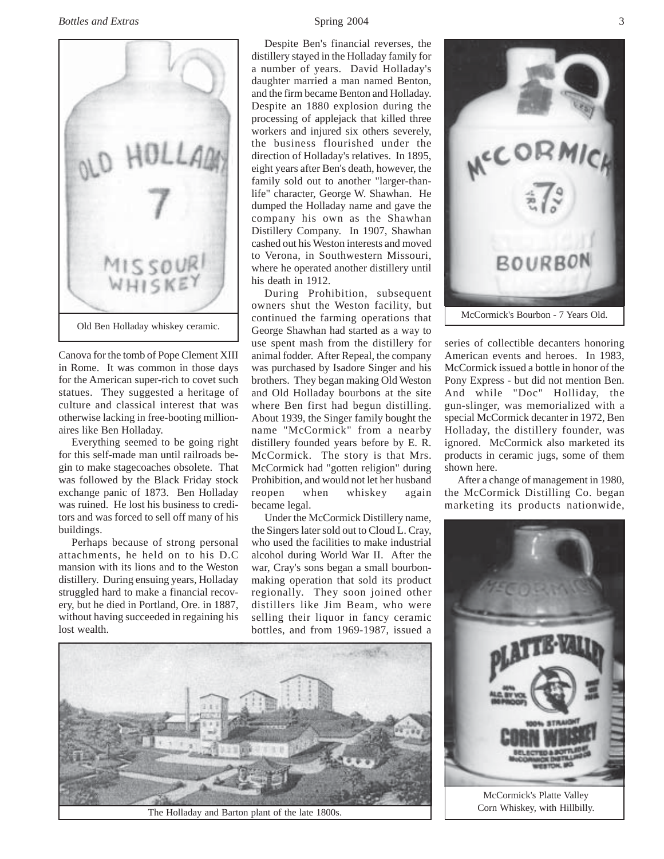

Canova for the tomb of Pope Clement XIII in Rome. It was common in those days for the American super-rich to covet such statues. They suggested a heritage of culture and classical interest that was otherwise lacking in free-booting millionaires like Ben Holladay.

Everything seemed to be going right for this self-made man until railroads begin to make stagecoaches obsolete. That was followed by the Black Friday stock exchange panic of 1873. Ben Holladay was ruined. He lost his business to creditors and was forced to sell off many of his buildings.

Perhaps because of strong personal attachments, he held on to his D.C mansion with its lions and to the Weston distillery. During ensuing years, Holladay struggled hard to make a financial recovery, but he died in Portland, Ore. in 1887, without having succeeded in regaining his lost wealth.

Despite Ben's financial reverses, the distillery stayed in the Holladay family for a number of years. David Holladay's daughter married a man named Benton, and the firm became Benton and Holladay. Despite an 1880 explosion during the processing of applejack that killed three workers and injured six others severely, the business flourished under the direction of Holladay's relatives. In 1895, eight years after Ben's death, however, the family sold out to another "larger-thanlife" character, George W. Shawhan. He dumped the Holladay name and gave the company his own as the Shawhan Distillery Company. In 1907, Shawhan cashed out his Weston interests and moved to Verona, in Southwestern Missouri, where he operated another distillery until his death in 1912.

During Prohibition, subsequent owners shut the Weston facility, but continued the farming operations that George Shawhan had started as a way to use spent mash from the distillery for animal fodder. After Repeal, the company was purchased by Isadore Singer and his brothers. They began making Old Weston and Old Holladay bourbons at the site where Ben first had begun distilling. About 1939, the Singer family bought the name "McCormick" from a nearby distillery founded years before by E. R. McCormick. The story is that Mrs. McCormick had "gotten religion" during Prohibition, and would not let her husband reopen when whiskey again became legal.

Under the McCormick Distillery name, the Singers later sold out to Cloud L. Cray, who used the facilities to make industrial alcohol during World War II. After the war, Cray's sons began a small bourbonmaking operation that sold its product regionally. They soon joined other distillers like Jim Beam, who were selling their liquor in fancy ceramic bottles, and from 1969-1987, issued a



The Holladay and Barton plant of the late 1800s.



series of collectible decanters honoring American events and heroes. In 1983, McCormick issued a bottle in honor of the Pony Express - but did not mention Ben. And while "Doc" Holliday, the gun-slinger, was memorialized with a special McCormick decanter in 1972, Ben Holladay, the distillery founder, was ignored. McCormick also marketed its products in ceramic jugs, some of them shown here.

After a change of management in 1980, the McCormick Distilling Co. began marketing its products nationwide,